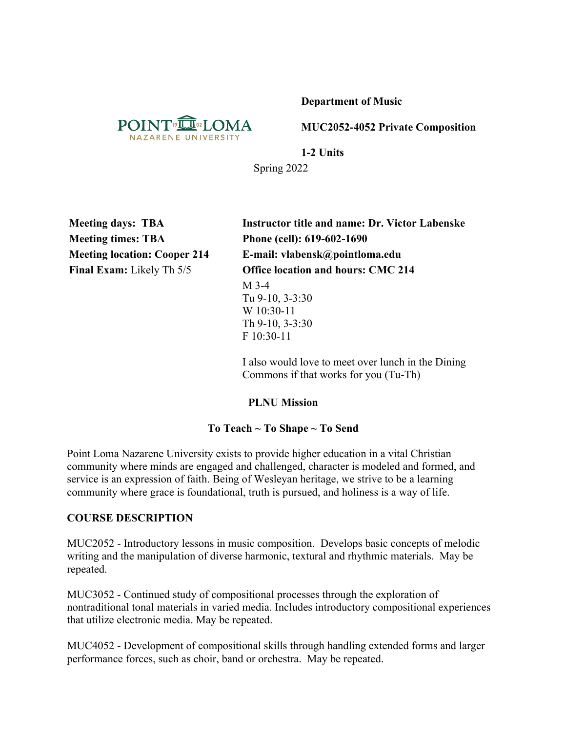**Department of Music**



**MUC2052-4052 Private Composition**

**1-2 Units** Spring 2022

**Meeting times: TBA Phone (cell): 619-602-1690**

**Meeting days: TBA Instructor title and name: Dr. Victor Labenske Meeting location: Cooper 214 E-mail: vlabensk@pointloma.edu Final Exam:** Likely Th 5/5 **Office location and hours: CMC 214** M 3-4 Tu 9-10, 3-3:30 W 10:30-11 Th 9-10, 3-3:30 F 10:30-11

> I also would love to meet over lunch in the Dining Commons if that works for you (Tu-Th)

### **PLNU Mission**

### **To Teach ~ To Shape ~ To Send**

Point Loma Nazarene University exists to provide higher education in a vital Christian community where minds are engaged and challenged, character is modeled and formed, and service is an expression of faith. Being of Wesleyan heritage, we strive to be a learning community where grace is foundational, truth is pursued, and holiness is a way of life.

### **COURSE DESCRIPTION**

MUC2052 - Introductory lessons in music composition. Develops basic concepts of melodic writing and the manipulation of diverse harmonic, textural and rhythmic materials. May be repeated.

MUC3052 - Continued study of compositional processes through the exploration of nontraditional tonal materials in varied media. Includes introductory compositional experiences that utilize electronic media. May be repeated.

MUC4052 - Development of compositional skills through handling extended forms and larger performance forces, such as choir, band or orchestra. May be repeated.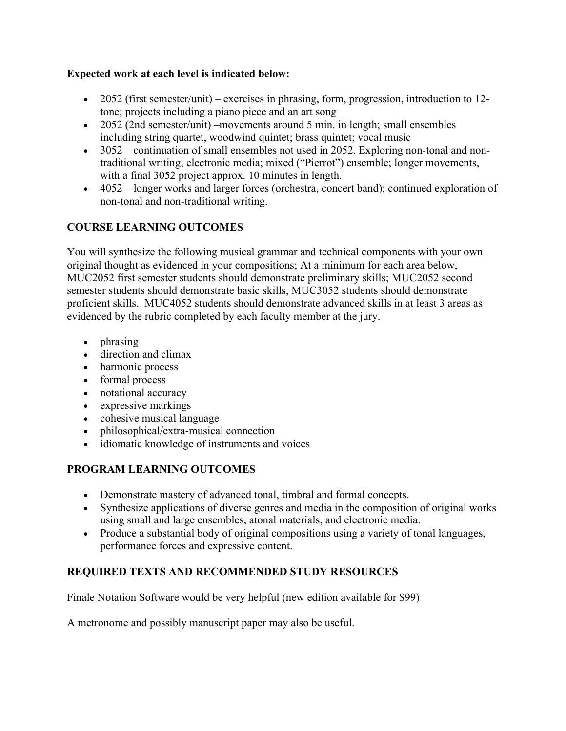## **Expected work at each level is indicated below:**

- 2052 (first semester/unit) exercises in phrasing, form, progression, introduction to 12tone; projects including a piano piece and an art song
- 2052 (2nd semester/unit) –movements around 5 min. in length; small ensembles including string quartet, woodwind quintet; brass quintet; vocal music
- 3052 continuation of small ensembles not used in 2052. Exploring non-tonal and nontraditional writing; electronic media; mixed ("Pierrot") ensemble; longer movements, with a final 3052 project approx. 10 minutes in length.
- 4052 longer works and larger forces (orchestra, concert band); continued exploration of non-tonal and non-traditional writing.

# **COURSE LEARNING OUTCOMES**

You will synthesize the following musical grammar and technical components with your own original thought as evidenced in your compositions; At a minimum for each area below, MUC2052 first semester students should demonstrate preliminary skills; MUC2052 second semester students should demonstrate basic skills, MUC3052 students should demonstrate proficient skills. MUC4052 students should demonstrate advanced skills in at least 3 areas as evidenced by the rubric completed by each faculty member at the jury.

- phrasing
- direction and climax
- harmonic process
- formal process
- notational accuracy
- expressive markings
- cohesive musical language
- philosophical/extra-musical connection
- idiomatic knowledge of instruments and voices

## **PROGRAM LEARNING OUTCOMES**

- Demonstrate mastery of advanced tonal, timbral and formal concepts.
- Synthesize applications of diverse genres and media in the composition of original works using small and large ensembles, atonal materials, and electronic media.
- Produce a substantial body of original compositions using a variety of tonal languages, performance forces and expressive content.

## **REQUIRED TEXTS AND RECOMMENDED STUDY RESOURCES**

Finale Notation Software would be very helpful (new edition available for \$99)

A metronome and possibly manuscript paper may also be useful.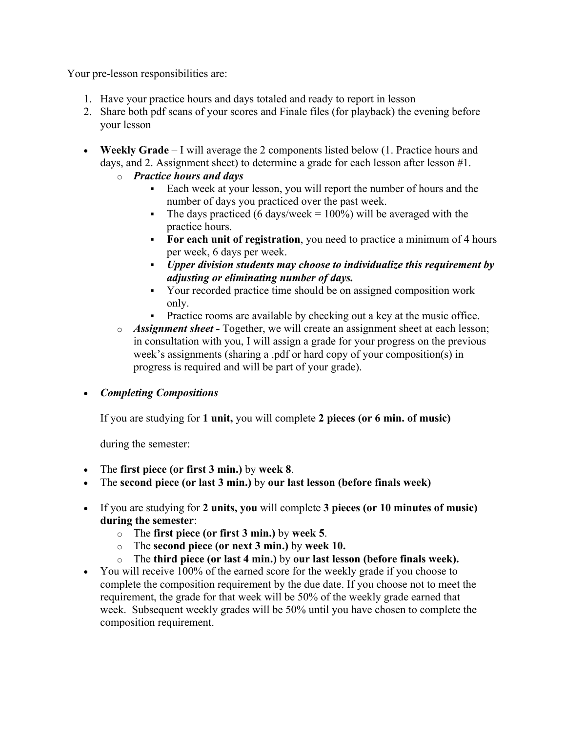Your pre-lesson responsibilities are:

- 1. Have your practice hours and days totaled and ready to report in lesson
- 2. Share both pdf scans of your scores and Finale files (for playback) the evening before your lesson
- **Weekly Grade** I will average the 2 components listed below (1. Practice hours and days, and 2. Assignment sheet) to determine a grade for each lesson after lesson #1.
	- o *Practice hours and days* 
		- Each week at your lesson, you will report the number of hours and the number of days you practiced over the past week.
		- The days practiced (6 days/week =  $100\%$ ) will be averaged with the practice hours.
		- § **For each unit of registration**, you need to practice a minimum of 4 hours per week, 6 days per week.
		- § *Upper division students may choose to individualize this requirement by adjusting or eliminating number of days.*
		- § Your recorded practice time should be on assigned composition work only.
		- Practice rooms are available by checking out a key at the music office.
	- o *Assignment sheet -* Together, we will create an assignment sheet at each lesson; in consultation with you, I will assign a grade for your progress on the previous week's assignments (sharing a .pdf or hard copy of your composition(s) in progress is required and will be part of your grade).

• *Completing Compositions*

If you are studying for **1 unit,** you will complete **2 pieces (or 6 min. of music)**

during the semester:

- The **first piece (or first 3 min.)** by **week 8**.
- The **second piece (or last 3 min.)** by **our last lesson (before finals week)**
- If you are studying for **2 units, you** will complete **3 pieces (or 10 minutes of music) during the semester**:
	- o The **first piece (or first 3 min.)** by **week 5**.
	- o The **second piece (or next 3 min.)** by **week 10.**
	- o The **third piece (or last 4 min.)** by **our last lesson (before finals week).**
- You will receive 100% of the earned score for the weekly grade if you choose to complete the composition requirement by the due date. If you choose not to meet the requirement, the grade for that week will be 50% of the weekly grade earned that week. Subsequent weekly grades will be 50% until you have chosen to complete the composition requirement.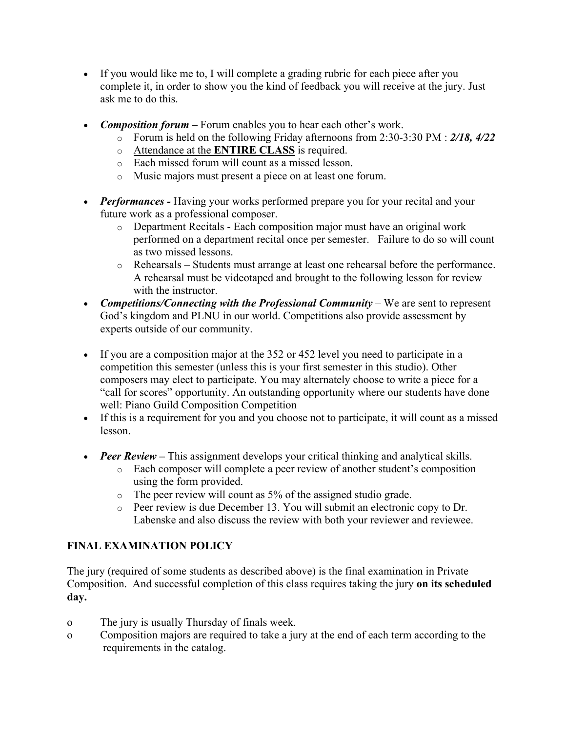- If you would like me to, I will complete a grading rubric for each piece after you complete it, in order to show you the kind of feedback you will receive at the jury. Just ask me to do this.
- *Composition forum –* Forum enables you to hear each other's work.
	- o Forum is held on the following Friday afternoons from 2:30-3:30 PM : *2/18, 4/22*
	- o Attendance at the **ENTIRE CLASS** is required.
	- o Each missed forum will count as a missed lesson.
	- o Music majors must present a piece on at least one forum.
- *Performances -* Having your works performed prepare you for your recital and your future work as a professional composer.
	- o Department Recitals Each composition major must have an original work performed on a department recital once per semester. Failure to do so will count as two missed lessons.
	- o Rehearsals Students must arrange at least one rehearsal before the performance. A rehearsal must be videotaped and brought to the following lesson for review with the instructor.
- *Competitions/Connecting with the Professional Community* We are sent to represent God's kingdom and PLNU in our world. Competitions also provide assessment by experts outside of our community.
- If you are a composition major at the 352 or 452 level you need to participate in a competition this semester (unless this is your first semester in this studio). Other composers may elect to participate. You may alternately choose to write a piece for a "call for scores" opportunity. An outstanding opportunity where our students have done well: Piano Guild Composition Competition
- If this is a requirement for you and you choose not to participate, it will count as a missed lesson.
- *Peer Review* This assignment develops your critical thinking and analytical skills.
	- o Each composer will complete a peer review of another student's composition using the form provided.
	- o The peer review will count as 5% of the assigned studio grade.
	- o Peer review is due December 13. You will submit an electronic copy to Dr. Labenske and also discuss the review with both your reviewer and reviewee.

# **FINAL EXAMINATION POLICY**

The jury (required of some students as described above) is the final examination in Private Composition. And successful completion of this class requires taking the jury **on its scheduled day.** 

- o The jury is usually Thursday of finals week.
- o Composition majors are required to take a jury at the end of each term according to the requirements in the catalog.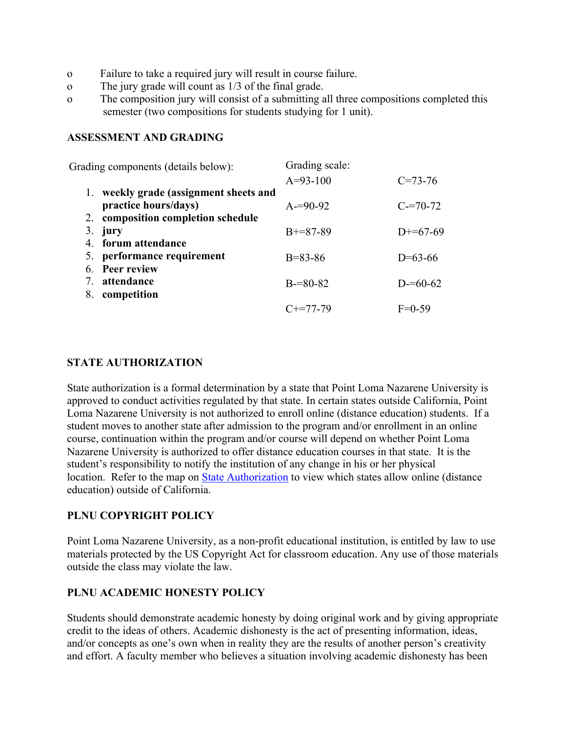- o Failure to take a required jury will result in course failure.
- o The jury grade will count as 1/3 of the final grade.
- o The composition jury will consist of a submitting all three compositions completed this semester (two compositions for students studying for 1 unit).

#### **ASSESSMENT AND GRADING**

| Grading components (details below): |                                     | Grading scale: |               |
|-------------------------------------|-------------------------------------|----------------|---------------|
|                                     |                                     | $A=93-100$     | $C = 73 - 76$ |
| 1.                                  | weekly grade (assignment sheets and |                |               |
|                                     | practice hours/days)                | $A=90-92$      | $C = 70 - 72$ |
|                                     | 2. composition completion schedule  |                |               |
|                                     | 3. jury                             | $B+=87-89$     | $D+=67-69$    |
|                                     | 4. forum attendance                 |                |               |
|                                     | 5. performance requirement          | $B = 83 - 86$  | $D=63-66$     |
|                                     | 6. Peer review                      |                |               |
|                                     | attendance                          | $B = 80 - 82$  | $D = 60-62$   |
| 8.                                  | competition                         |                |               |
|                                     |                                     | $C_{+}=77-79$  | $F=0-59$      |

### **STATE AUTHORIZATION**

State authorization is a formal determination by a state that Point Loma Nazarene University is approved to conduct activities regulated by that state. In certain states outside California, Point Loma Nazarene University is not authorized to enroll online (distance education) students. If a student moves to another state after admission to the program and/or enrollment in an online course, continuation within the program and/or course will depend on whether Point Loma Nazarene University is authorized to offer distance education courses in that state. It is the student's responsibility to notify the institution of any change in his or her physical location. Refer to the map on State Authorization to view which states allow online (distance education) outside of California.

#### **PLNU COPYRIGHT POLICY**

Point Loma Nazarene University, as a non-profit educational institution, is entitled by law to use materials protected by the US Copyright Act for classroom education. Any use of those materials outside the class may violate the law.

#### **PLNU ACADEMIC HONESTY POLICY**

Students should demonstrate academic honesty by doing original work and by giving appropriate credit to the ideas of others. Academic dishonesty is the act of presenting information, ideas, and/or concepts as one's own when in reality they are the results of another person's creativity and effort. A faculty member who believes a situation involving academic dishonesty has been